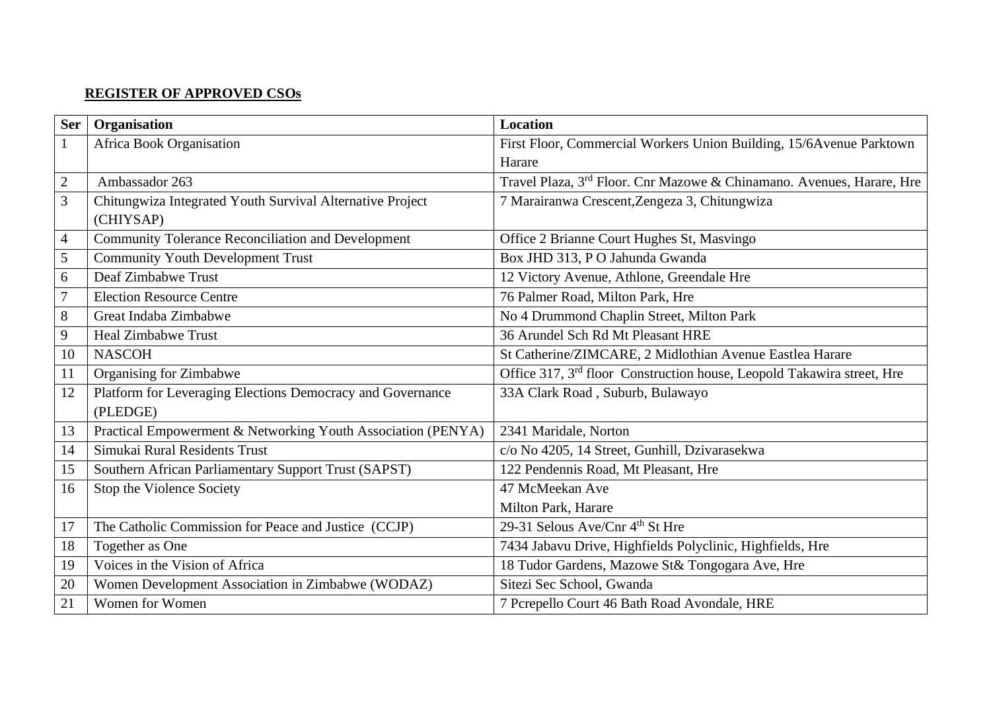## **REGISTER OF APPROVED CSOs**

| <b>Ser</b>     | Organisation                                                 | <b>Location</b>                                                                    |
|----------------|--------------------------------------------------------------|------------------------------------------------------------------------------------|
| $\mathbf{1}$   | Africa Book Organisation                                     | First Floor, Commercial Workers Union Building, 15/6Avenue Parktown                |
|                |                                                              | Harare                                                                             |
| $\overline{c}$ | Ambassador 263                                               | Travel Plaza, 3 <sup>rd</sup> Floor. Cnr Mazowe & Chinamano. Avenues, Harare, Hre  |
| 3              | Chitungwiza Integrated Youth Survival Alternative Project    | 7 Marairanwa Crescent, Zengeza 3, Chitungwiza                                      |
|                | (CHIYSAP)                                                    |                                                                                    |
| $\overline{4}$ | <b>Community Tolerance Reconciliation and Development</b>    | Office 2 Brianne Court Hughes St, Masvingo                                         |
| 5              | <b>Community Youth Development Trust</b>                     | Box JHD 313, PO Jahunda Gwanda                                                     |
| 6              | Deaf Zimbabwe Trust                                          | 12 Victory Avenue, Athlone, Greendale Hre                                          |
| 7              | <b>Election Resource Centre</b>                              | 76 Palmer Road, Milton Park, Hre                                                   |
| 8              | Great Indaba Zimbabwe                                        | No 4 Drummond Chaplin Street, Milton Park                                          |
| 9              | <b>Heal Zimbabwe Trust</b>                                   | 36 Arundel Sch Rd Mt Pleasant HRE                                                  |
| 10             | <b>NASCOH</b>                                                | St Catherine/ZIMCARE, 2 Midlothian Avenue Eastlea Harare                           |
| 11             | Organising for Zimbabwe                                      | Office 317, 3 <sup>rd</sup> floor Construction house, Leopold Takawira street, Hre |
| 12             | Platform for Leveraging Elections Democracy and Governance   | 33A Clark Road, Suburb, Bulawayo                                                   |
|                | (PLEDGE)                                                     |                                                                                    |
| 13             | Practical Empowerment & Networking Youth Association (PENYA) | 2341 Maridale, Norton                                                              |
| 14             | Simukai Rural Residents Trust                                | c/o No 4205, 14 Street, Gunhill, Dzivarasekwa                                      |
| 15             | Southern African Parliamentary Support Trust (SAPST)         | 122 Pendennis Road, Mt Pleasant, Hre                                               |
| 16             | Stop the Violence Society                                    | 47 McMeekan Ave                                                                    |
|                |                                                              | Milton Park, Harare                                                                |
| 17             | The Catholic Commission for Peace and Justice (CCJP)         | 29-31 Selous Ave/Cnr 4 <sup>th</sup> St Hre                                        |
| 18             | Together as One                                              | 7434 Jabavu Drive, Highfields Polyclinic, Highfields, Hre                          |
| 19             | Voices in the Vision of Africa                               | 18 Tudor Gardens, Mazowe St& Tongogara Ave, Hre                                    |
| 20             | Women Development Association in Zimbabwe (WODAZ)            | Sitezi Sec School, Gwanda                                                          |
| 21             | Women for Women                                              | 7 Pcrepello Court 46 Bath Road Avondale, HRE                                       |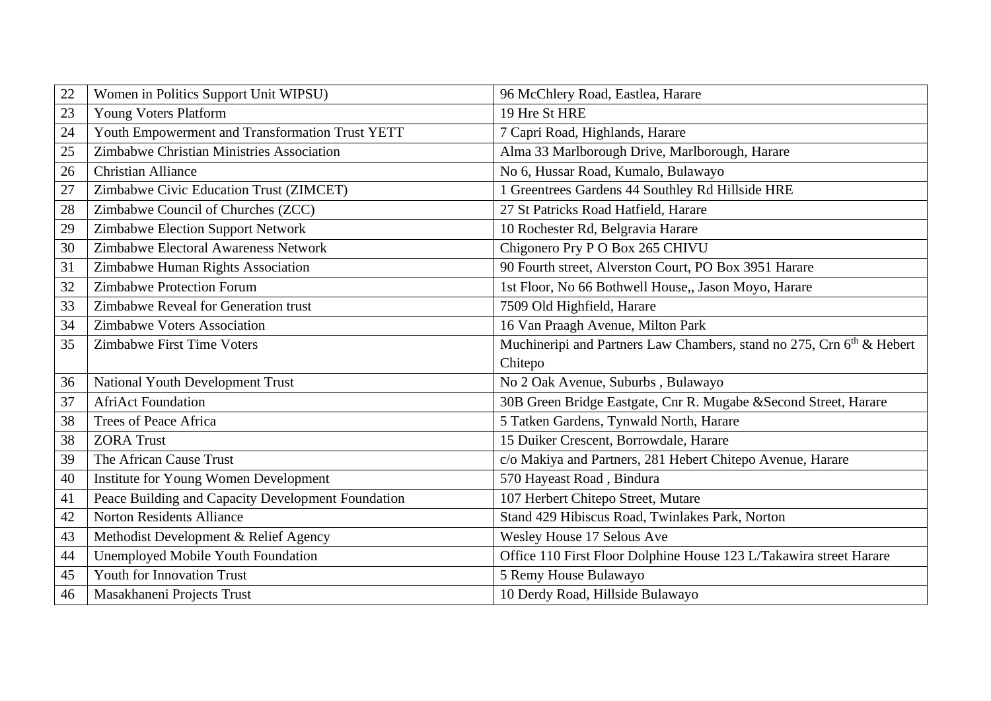| 22 | Women in Politics Support Unit WIPSU)              | 96 McChlery Road, Eastlea, Harare                                                 |
|----|----------------------------------------------------|-----------------------------------------------------------------------------------|
| 23 | Young Voters Platform                              | 19 Hre St HRE                                                                     |
| 24 | Youth Empowerment and Transformation Trust YETT    | 7 Capri Road, Highlands, Harare                                                   |
| 25 | Zimbabwe Christian Ministries Association          | Alma 33 Marlborough Drive, Marlborough, Harare                                    |
| 26 | <b>Christian Alliance</b>                          | No 6, Hussar Road, Kumalo, Bulawayo                                               |
| 27 | Zimbabwe Civic Education Trust (ZIMCET)            | 1 Greentrees Gardens 44 Southley Rd Hillside HRE                                  |
| 28 | Zimbabwe Council of Churches (ZCC)                 | 27 St Patricks Road Hatfield, Harare                                              |
| 29 | Zimbabwe Election Support Network                  | 10 Rochester Rd, Belgravia Harare                                                 |
| 30 | Zimbabwe Electoral Awareness Network               | Chigonero Pry P O Box 265 CHIVU                                                   |
| 31 | Zimbabwe Human Rights Association                  | 90 Fourth street, Alverston Court, PO Box 3951 Harare                             |
| 32 | <b>Zimbabwe Protection Forum</b>                   | 1st Floor, No 66 Bothwell House,, Jason Moyo, Harare                              |
| 33 | Zimbabwe Reveal for Generation trust               | 7509 Old Highfield, Harare                                                        |
| 34 | Zimbabwe Voters Association                        | 16 Van Praagh Avenue, Milton Park                                                 |
| 35 | Zimbabwe First Time Voters                         | Muchineripi and Partners Law Chambers, stand no 275, Crn 6 <sup>th</sup> & Hebert |
|    |                                                    | Chitepo                                                                           |
| 36 | <b>National Youth Development Trust</b>            | No 2 Oak Avenue, Suburbs, Bulawayo                                                |
| 37 | <b>AfriAct Foundation</b>                          | 30B Green Bridge Eastgate, Cnr R. Mugabe & Second Street, Harare                  |
| 38 | <b>Trees of Peace Africa</b>                       | 5 Tatken Gardens, Tynwald North, Harare                                           |
| 38 | <b>ZORA</b> Trust                                  | 15 Duiker Crescent, Borrowdale, Harare                                            |
| 39 | The African Cause Trust                            | c/o Makiya and Partners, 281 Hebert Chitepo Avenue, Harare                        |
| 40 | Institute for Young Women Development              | 570 Hayeast Road, Bindura                                                         |
| 41 | Peace Building and Capacity Development Foundation | 107 Herbert Chitepo Street, Mutare                                                |
| 42 | Norton Residents Alliance                          | Stand 429 Hibiscus Road, Twinlakes Park, Norton                                   |
| 43 | Methodist Development & Relief Agency              | Wesley House 17 Selous Ave                                                        |
| 44 | Unemployed Mobile Youth Foundation                 | Office 110 First Floor Dolphine House 123 L/Takawira street Harare                |
| 45 | <b>Youth for Innovation Trust</b>                  | 5 Remy House Bulawayo                                                             |
| 46 | Masakhaneni Projects Trust                         | 10 Derdy Road, Hillside Bulawayo                                                  |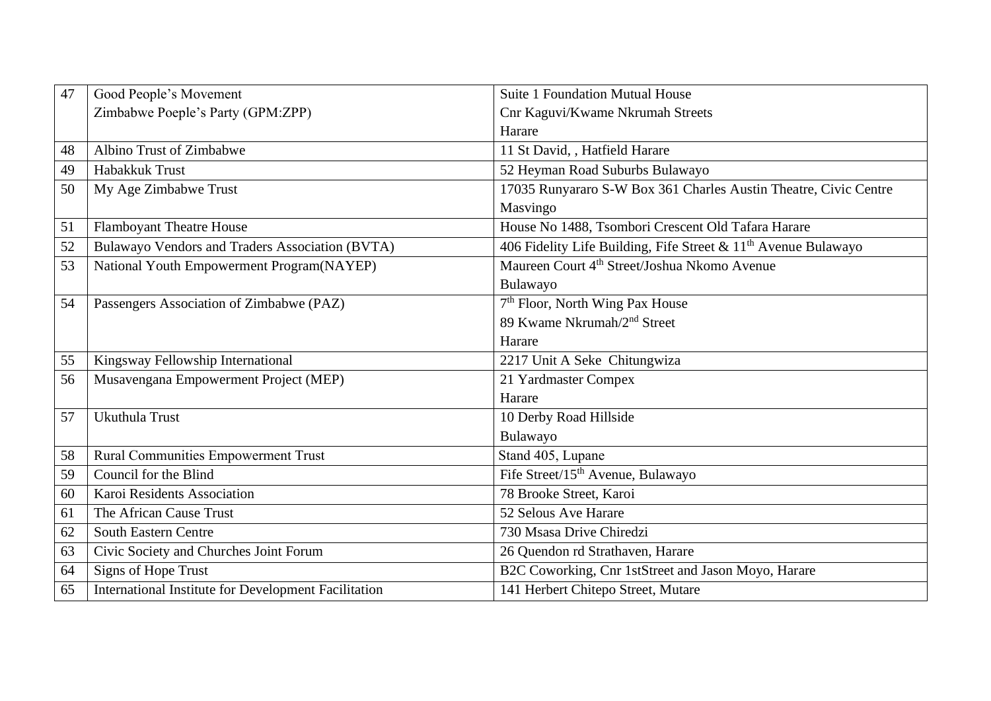| 47 | Good People's Movement                               | <b>Suite 1 Foundation Mutual House</b>                           |
|----|------------------------------------------------------|------------------------------------------------------------------|
|    | Zimbabwe Poeple's Party (GPM:ZPP)                    | Cnr Kaguvi/Kwame Nkrumah Streets                                 |
|    |                                                      | Harare                                                           |
| 48 | Albino Trust of Zimbabwe                             | 11 St David, , Hatfield Harare                                   |
| 49 | Habakkuk Trust                                       | 52 Heyman Road Suburbs Bulawayo                                  |
| 50 | My Age Zimbabwe Trust                                | 17035 Runyararo S-W Box 361 Charles Austin Theatre, Civic Centre |
|    |                                                      | Masvingo                                                         |
| 51 | <b>Flamboyant Theatre House</b>                      | House No 1488, Tsombori Crescent Old Tafara Harare               |
| 52 | Bulawayo Vendors and Traders Association (BVTA)      | 406 Fidelity Life Building, Fife Street & $11th$ Avenue Bulawayo |
| 53 | National Youth Empowerment Program(NAYEP)            | Maureen Court 4 <sup>th</sup> Street/Joshua Nkomo Avenue         |
|    |                                                      | Bulawayo                                                         |
| 54 | Passengers Association of Zimbabwe (PAZ)             | 7 <sup>th</sup> Floor, North Wing Pax House                      |
|    |                                                      | 89 Kwame Nkrumah/2 <sup>nd</sup> Street                          |
|    |                                                      | Harare                                                           |
| 55 | Kingsway Fellowship International                    | 2217 Unit A Seke Chitungwiza                                     |
| 56 | Musavengana Empowerment Project (MEP)                | 21 Yardmaster Compex                                             |
|    |                                                      | Harare                                                           |
| 57 | Ukuthula Trust                                       | 10 Derby Road Hillside                                           |
|    |                                                      | Bulawayo                                                         |
| 58 | <b>Rural Communities Empowerment Trust</b>           | Stand 405, Lupane                                                |
| 59 | Council for the Blind                                | Fife Street/15 <sup>th</sup> Avenue, Bulawayo                    |
| 60 | Karoi Residents Association                          | 78 Brooke Street, Karoi                                          |
| 61 | The African Cause Trust                              | 52 Selous Ave Harare                                             |
| 62 | <b>South Eastern Centre</b>                          | 730 Msasa Drive Chiredzi                                         |
| 63 | Civic Society and Churches Joint Forum               | 26 Quendon rd Strathaven, Harare                                 |
| 64 | Signs of Hope Trust                                  | B2C Coworking, Cnr 1stStreet and Jason Moyo, Harare              |
| 65 | International Institute for Development Facilitation | 141 Herbert Chitepo Street, Mutare                               |